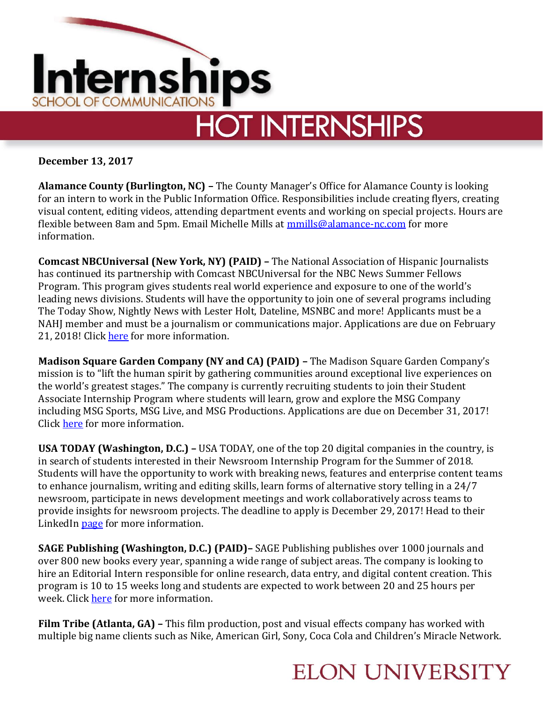

**December 13, 2017**

**Alamance County (Burlington, NC) –** The County Manager's Office for Alamance County is looking for an intern to work in the Public Information Office. Responsibilities include creating flyers, creating visual content, editing videos, attending department events and working on special projects. Hours are flexible between 8am and 5pm. Email Michelle Mills at **mmills@alamance-nc.com** for more information.

**Comcast NBCUniversal (New York, NY) (PAID) –** The National Association of Hispanic Journalists has continued its partnership with Comcast NBCUniversal for the NBC News Summer Fellows Program. This program gives students real world experience and exposure to one of the world's leading news divisions. Students will have the opportunity to join one of several programs including The Today Show, Nightly News with Lester Holt, Dateline, MSNBC and more! Applicants must be a NAHJ member and must be a journalism or communications major. Applications are due on February 21, 2018! Click [here](http://www.nahj.org/nbc-news-summer-fellowship-2018/) for more information.

**Madison Square Garden Company (NY and CA) (PAID) –** The Madison Square Garden Company's mission is to "lift the human spirit by gathering communities around exceptional live experiences on the world's greatest stages." The company is currently recruiting students to join their Student Associate Internship Program where students will learn, grow and explore the MSG Company including MSG Sports, MSG Live, and MSG Productions. Applications are due on December 31, 2017! Click [here](http://www.themadisonsquaregardencompany.com/careers/student-opportunities.html) for more information.

**USA TODAY (Washington, D.C.) –** USA TODAY, one of the top 20 digital companies in the country, is in search of students interested in their Newsroom Internship Program for the Summer of 2018. Students will have the opportunity to work with breaking news, features and enterprise content teams to enhance journalism, writing and editing skills, learn forms of alternative story telling in a 24/7 newsroom, participate in news development meetings and work collaboratively across teams to provide insights for newsroom projects. The deadline to apply is December 29, 2017! Head to their LinkedI[n page](https://www.linkedin.com/jobs/view/usa-today-summer-2018-newsroom-internship--washington-dc-at-gannett-%7C-usa-today-network-495949234) for more information.

**SAGE Publishing (Washington, D.C.) (PAID)–** SAGE Publishing publishes over 1000 journals and over 800 new books every year, spanning a wide range of subject areas. The company is looking to hire an Editorial Intern responsible for online research, data entry, and digital content creation. This program is 10 to 15 weeks long and students are expected to work between 20 and 25 hours per week. Click [here](https://www.linkedin.com/jobs/view/editorial-intern-at-sage-publishing-470677642) for more information.

**Film Tribe (Atlanta, GA) –** This film production, post and visual effects company has worked with multiple big name clients such as Nike, American Girl, Sony, Coca Cola and Children's Miracle Network.

### **ELON UNIVERSITY**